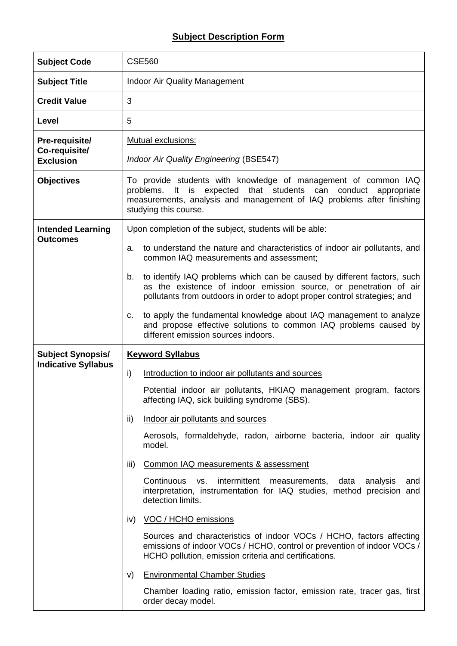## **Subject Description Form**

| <b>Subject Code</b>             | <b>CSE560</b>                                                                                                                                                                                                                                      |  |  |  |  |  |
|---------------------------------|----------------------------------------------------------------------------------------------------------------------------------------------------------------------------------------------------------------------------------------------------|--|--|--|--|--|
| <b>Subject Title</b>            | <b>Indoor Air Quality Management</b>                                                                                                                                                                                                               |  |  |  |  |  |
| <b>Credit Value</b>             | 3                                                                                                                                                                                                                                                  |  |  |  |  |  |
| Level                           | 5                                                                                                                                                                                                                                                  |  |  |  |  |  |
| Pre-requisite/<br>Co-requisite/ | Mutual exclusions:                                                                                                                                                                                                                                 |  |  |  |  |  |
| <b>Exclusion</b>                | <b>Indoor Air Quality Engineering (BSE547)</b>                                                                                                                                                                                                     |  |  |  |  |  |
| <b>Objectives</b>               | To provide students with knowledge of management of common IAQ<br>problems.<br>expected that students can<br>conduct<br>It.<br>is<br>appropriate<br>measurements, analysis and management of IAQ problems after finishing<br>studying this course. |  |  |  |  |  |
| <b>Intended Learning</b>        | Upon completion of the subject, students will be able:                                                                                                                                                                                             |  |  |  |  |  |
| <b>Outcomes</b>                 | to understand the nature and characteristics of indoor air pollutants, and<br>a.<br>common IAQ measurements and assessment;                                                                                                                        |  |  |  |  |  |
|                                 | to identify IAQ problems which can be caused by different factors, such<br>b.<br>as the existence of indoor emission source, or penetration of air<br>pollutants from outdoors in order to adopt proper control strategies; and                    |  |  |  |  |  |
|                                 | to apply the fundamental knowledge about IAQ management to analyze<br>c.<br>and propose effective solutions to common IAQ problems caused by<br>different emission sources indoors.                                                                |  |  |  |  |  |
| <b>Subject Synopsis/</b>        | <b>Keyword Syllabus</b>                                                                                                                                                                                                                            |  |  |  |  |  |
| <b>Indicative Syllabus</b>      | i)<br>Introduction to indoor air pollutants and sources                                                                                                                                                                                            |  |  |  |  |  |
|                                 | Potential indoor air pollutants, HKIAQ management program, factors<br>affecting IAQ, sick building syndrome (SBS).                                                                                                                                 |  |  |  |  |  |
|                                 | ii)<br>Indoor air pollutants and sources                                                                                                                                                                                                           |  |  |  |  |  |
|                                 | Aerosols, formaldehyde, radon, airborne bacteria, indoor air quality<br>model.                                                                                                                                                                     |  |  |  |  |  |
|                                 | iii)<br><b>Common IAQ measurements &amp; assessment</b>                                                                                                                                                                                            |  |  |  |  |  |
|                                 | Continuous vs.<br>intermittent measurements, data<br>analysis<br>and<br>interpretation, instrumentation for IAQ studies, method precision and<br>detection limits.                                                                                 |  |  |  |  |  |
|                                 | VOC / HCHO emissions<br>iv)                                                                                                                                                                                                                        |  |  |  |  |  |
|                                 | Sources and characteristics of indoor VOCs / HCHO, factors affecting<br>emissions of indoor VOCs / HCHO, control or prevention of indoor VOCs /<br>HCHO pollution, emission criteria and certifications.                                           |  |  |  |  |  |
|                                 | <b>Environmental Chamber Studies</b><br>V)                                                                                                                                                                                                         |  |  |  |  |  |
|                                 | Chamber loading ratio, emission factor, emission rate, tracer gas, first<br>order decay model.                                                                                                                                                     |  |  |  |  |  |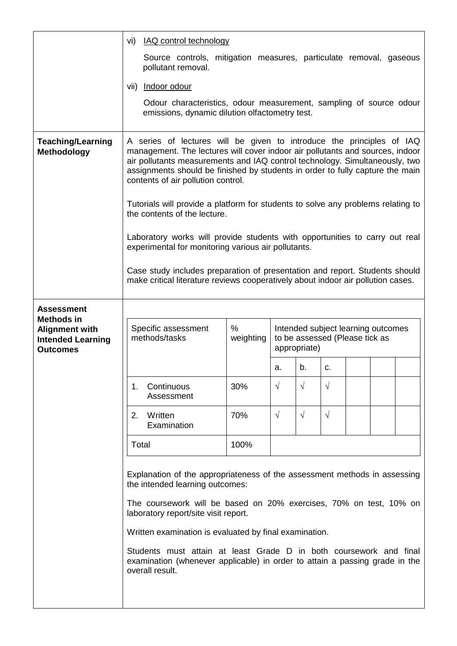|                                                                                           | vi) IAQ control technology                                                                                                                                                                                                                                                                                                                                   |      |            |                                                                                      |            |  |  |  |  |
|-------------------------------------------------------------------------------------------|--------------------------------------------------------------------------------------------------------------------------------------------------------------------------------------------------------------------------------------------------------------------------------------------------------------------------------------------------------------|------|------------|--------------------------------------------------------------------------------------|------------|--|--|--|--|
|                                                                                           | Source controls, mitigation measures, particulate removal, gaseous<br>pollutant removal.                                                                                                                                                                                                                                                                     |      |            |                                                                                      |            |  |  |  |  |
|                                                                                           | vii) Indoor odour                                                                                                                                                                                                                                                                                                                                            |      |            |                                                                                      |            |  |  |  |  |
|                                                                                           | Odour characteristics, odour measurement, sampling of source odour<br>emissions, dynamic dilution olfactometry test.                                                                                                                                                                                                                                         |      |            |                                                                                      |            |  |  |  |  |
| <b>Teaching/Learning</b><br>Methodology                                                   | A series of lectures will be given to introduce the principles of IAQ<br>management. The lectures will cover indoor air pollutants and sources, indoor<br>air pollutants measurements and IAQ control technology. Simultaneously, two<br>assignments should be finished by students in order to fully capture the main<br>contents of air pollution control. |      |            |                                                                                      |            |  |  |  |  |
|                                                                                           | Tutorials will provide a platform for students to solve any problems relating to<br>the contents of the lecture.                                                                                                                                                                                                                                             |      |            |                                                                                      |            |  |  |  |  |
|                                                                                           | Laboratory works will provide students with opportunities to carry out real<br>experimental for monitoring various air pollutants.                                                                                                                                                                                                                           |      |            |                                                                                      |            |  |  |  |  |
|                                                                                           | Case study includes preparation of presentation and report. Students should<br>make critical literature reviews cooperatively about indoor air pollution cases.                                                                                                                                                                                              |      |            |                                                                                      |            |  |  |  |  |
| <b>Assessment</b>                                                                         |                                                                                                                                                                                                                                                                                                                                                              |      |            |                                                                                      |            |  |  |  |  |
| <b>Methods in</b><br><b>Alignment with</b><br><b>Intended Learning</b><br><b>Outcomes</b> | $\%$<br>Specific assessment<br>methods/tasks<br>weighting                                                                                                                                                                                                                                                                                                    |      |            | Intended subject learning outcomes<br>to be assessed (Please tick as<br>appropriate) |            |  |  |  |  |
|                                                                                           |                                                                                                                                                                                                                                                                                                                                                              |      | а.         | b.                                                                                   | c.         |  |  |  |  |
|                                                                                           | 1.<br>Continuous<br>Assessment                                                                                                                                                                                                                                                                                                                               | 30%  | $\sqrt{ }$ | $\sqrt{}$                                                                            | $\sqrt{}$  |  |  |  |  |
|                                                                                           | Written<br>2.<br>Examination                                                                                                                                                                                                                                                                                                                                 | 70%  | $\sqrt{ }$ | $\sqrt{ }$                                                                           | $\sqrt{ }$ |  |  |  |  |
|                                                                                           |                                                                                                                                                                                                                                                                                                                                                              |      |            |                                                                                      |            |  |  |  |  |
|                                                                                           | Total                                                                                                                                                                                                                                                                                                                                                        | 100% |            |                                                                                      |            |  |  |  |  |